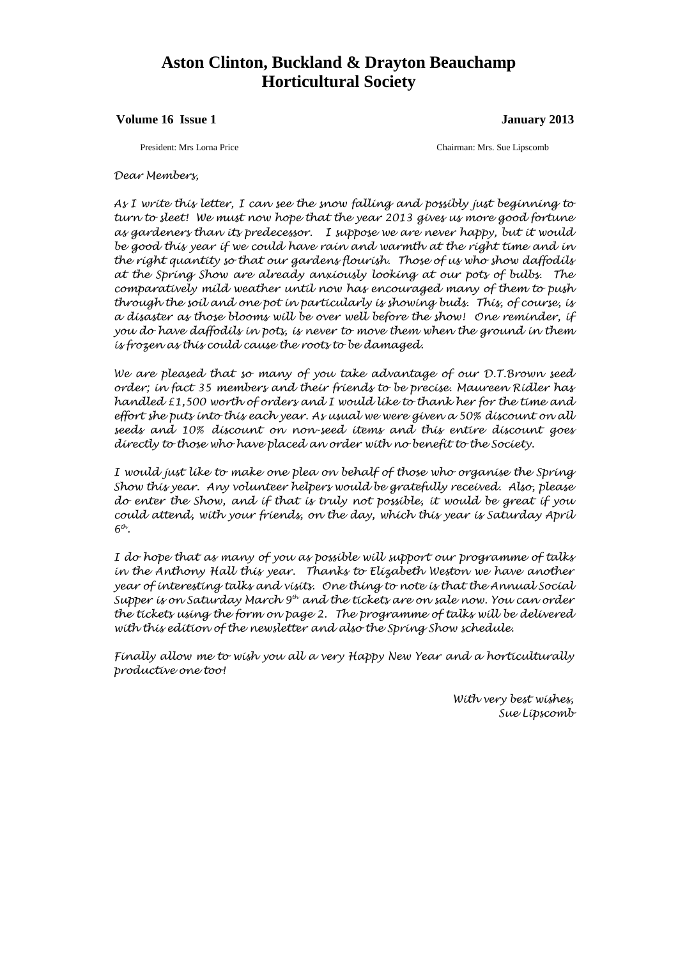# **Aston Clinton, Buckland & Drayton Beauchamp Horticultural Society**

#### **Volume 16 Issue 1 January 2013**

President: Mrs Lorna Price Chairman: Mrs. Sue Lipscomb

#### *Dear Members,*

*As I write this letter, I can see the snow falling and possibly just beginning to turn to sleet! We must now hope that the year 2013 gives us more good fortune as gardeners than its predecessor. I suppose we are never happy, but it would be good this year if we could have rain and warmth at the right time and in the right quantity so that our gardens flourish. Those of us who show daffodils at the Spring Show are already anxiously looking at our pots of bulbs. The comparatively mild weather until now has encouraged many of them to push through the soil and one pot in particularly is showing buds. This, of course, is a disaster as those blooms will be over well before the show! One reminder, if you do have daffodils in pots, is never to move them when the ground in them is frozen as this could cause the roots to be damaged.*

*We are pleased that so many of you take advantage of our D.T.Brown seed order; in fact 35 members and their friends to be precise. Maureen Ridler has handled £1,500 worth of orders and I would like to thank her for the time and effort she puts into this each year. As usual we were given a 50% discount on all seeds and 10% discount on non-seed items and this entire discount goes directly to those who have placed an order with no benefit to the Society.*

*I would just like to make one plea on behalf of those who organise the Spring Show this year. Any volunteer helpers would be gratefully received. Also, please do enter the Show, and if that is truly not possible, it would be great if you could attend, with your friends, on the day, which this year is Saturday April*   $6<sup>th</sup>$ .

*I do hope that as many of you as possible will support our programme of talks in the Anthony Hall this year. Thanks to Elizabeth Weston we have another year of interesting talks and visits. One thing to note is that the Annual Social Supper is on Saturday March 9th and the tickets are on sale now. You can order the tickets using the form on page 2. The programme of talks will be delivered with this edition of the newsletter and also the Spring Show schedule.* 

*Finally allow me to wish you all a very Happy New Year and a horticulturally productive one too!*

> *With very best wishes, Sue Lipscomb*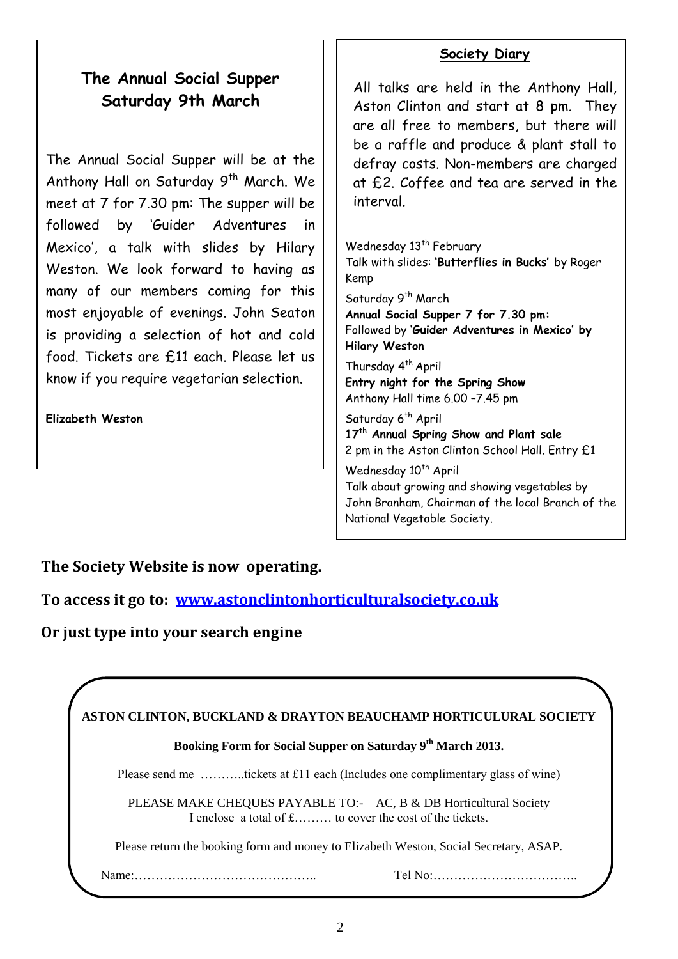# **The Annual Social Supper Saturday 9th March**

The Annual Social Supper will be at the Anthony Hall on Saturday 9<sup>th</sup> March. We meet at 7 for 7.30 pm: The supper will be followed by 'Guider Adventures in Mexico', a talk with slides by Hilary Weston. We look forward to having as many of our members coming for this most enjoyable of evenings. John Seaton is providing a selection of hot and cold food. Tickets are £11 each. Please let us know if you require vegetarian selection.

**Elizabeth Weston**

## **Society Diary**

All talks are held in the Anthony Hall, Aston Clinton and start at 8 pm. They are all free to members, but there will be a raffle and produce & plant stall to defray costs. Non-members are charged at £2. Coffee and tea are served in the interval.

Wednesday 13<sup>th</sup> February Talk with slides: **'Butterflies in Bucks'** by Roger Kemp

Saturday 9<sup>th</sup> March

**Annual Social Supper 7 for 7.30 pm:**  Followed by '**Guider Adventures in Mexico' by Hilary Weston**

Thursday 4<sup>th</sup> April **Entry night for the Spring Show** Anthony Hall time 6.00 –7.45 pm

Saturday 6<sup>th</sup> April **17th Annual Spring Show and Plant sale** 2 pm in the Aston Clinton School Hall. Entry £1

Wednesday 10<sup>th</sup> April

Talk about growing and showing vegetables by John Branham, Chairman of the local Branch of the National Vegetable Society.

**The Society Website is now operating.** 

**To access it go to: [www.astonclintonhorticulturalsociety.co.uk](http://www.astonclintonhorticulturalsociety.co.uk/)**

**Or just type into your search engine**

| ASTON CLINTON, BUCKLAND & DRAYTON BEAUCHAMP HORTICULURAL SOCIETY |                                                                                                                               |
|------------------------------------------------------------------|-------------------------------------------------------------------------------------------------------------------------------|
|                                                                  | Booking Form for Social Supper on Saturday 9th March 2013.                                                                    |
|                                                                  | Please send me tickets at £11 each (Includes one complimentary glass of wine)                                                 |
|                                                                  | PLEASE MAKE CHEQUES PAYABLE TO:- AC, B & DB Horticultural Society<br>I enclose a total of £ to cover the cost of the tickets. |
|                                                                  | Please return the booking form and money to Elizabeth Weston, Social Secretary, ASAP.                                         |
|                                                                  |                                                                                                                               |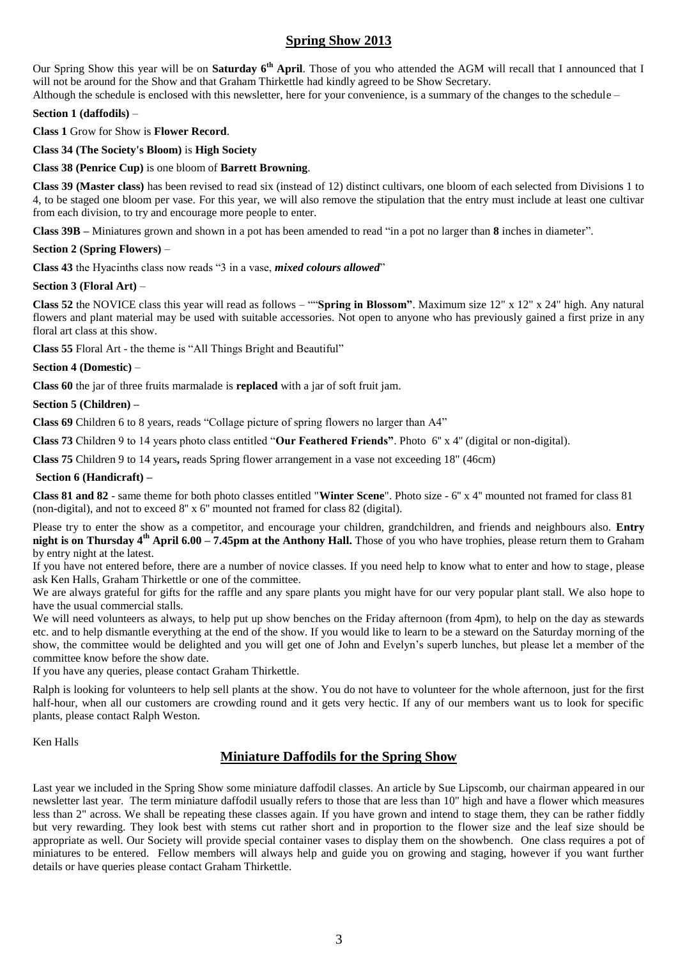#### **Spring Show 2013**

Our Spring Show this year will be on **Saturday 6<sup>th</sup> April**. Those of you who attended the AGM will recall that I announced that I will not be around for the Show and that Graham Thirkettle had kindly agreed to be Show Secretary.

Although the schedule is enclosed with this newsletter, here for your convenience, is a summary of the changes to the schedule – **Section 1 (daffodils)** –

**Class 1** Grow for Show is **Flower Record**.

**Class 34 (The Society's Bloom)** is **High Society**

#### **Class 38 (Penrice Cup)** is one bloom of **Barrett Browning**.

**Class 39 (Master class)** has been revised to read six (instead of 12) distinct cultivars, one bloom of each selected from Divisions 1 to 4, to be staged one bloom per vase. For this year, we will also remove the stipulation that the entry must include at least one cultivar from each division, to try and encourage more people to enter.

**Class 39B –** Miniatures grown and shown in a pot has been amended to read "in a pot no larger than **8** inches in diameter".

#### **Section 2 (Spring Flowers)** –

**Class 43** the Hyacinths class now reads "3 in a vase, *mixed colours allowed*"

#### **Section 3 (Floral Art)** –

**Class 52** the NOVICE class this year will read as follows – ""**Spring in Blossom"**. Maximum size 12" x 12" x 24" high. Any natural flowers and plant material may be used with suitable accessories. Not open to anyone who has previously gained a first prize in any floral art class at this show.

**Class 55** Floral Art - the theme is "All Things Bright and Beautiful"

#### **Section 4 (Domestic)** –

**Class 60** the jar of three fruits marmalade is **replaced** with a jar of soft fruit jam.

#### **Section 5 (Children) –**

**Class 69** Children 6 to 8 years, reads "Collage picture of spring flowers no larger than A4"

**Class 73** Children 9 to 14 years photo class entitled "**Our Feathered Friends"**. Photo 6'' x 4'' (digital or non-digital).

**Class 75** Children 9 to 14 years**,** reads Spring flower arrangement in a vase not exceeding 18" (46cm)

#### **Section 6 (Handicraft) –**

**Class 81 and 82** - same theme for both photo classes entitled "**Winter Scene**". Photo size - 6'' x 4'' mounted not framed for class 81 (non-digital), and not to exceed 8'' x 6'' mounted not framed for class 82 (digital).

Please try to enter the show as a competitor, and encourage your children, grandchildren, and friends and neighbours also. **Entry night is on Thursday 4th April 6.00 – 7.45pm at the Anthony Hall.** Those of you who have trophies, please return them to Graham by entry night at the latest.

If you have not entered before, there are a number of novice classes. If you need help to know what to enter and how to stage, please ask Ken Halls, Graham Thirkettle or one of the committee.

We are always grateful for gifts for the raffle and any spare plants you might have for our very popular plant stall. We also hope to have the usual commercial stalls.

We will need volunteers as always, to help put up show benches on the Friday afternoon (from 4pm), to help on the day as stewards etc. and to help dismantle everything at the end of the show. If you would like to learn to be a steward on the Saturday morning of the show, the committee would be delighted and you will get one of John and Evelyn's superb lunches, but please let a member of the committee know before the show date.

If you have any queries, please contact Graham Thirkettle.

Ralph is looking for volunteers to help sell plants at the show. You do not have to volunteer for the whole afternoon, just for the first half-hour, when all our customers are crowding round and it gets very hectic. If any of our members want us to look for specific plants, please contact Ralph Weston.

#### Ken Halls

### **Miniature Daffodils for the Spring Show**

Last year we included in the Spring Show some miniature daffodil classes. An article by Sue Lipscomb, our chairman appeared in our newsletter last year. The term miniature daffodil usually refers to those that are less than 10" high and have a flower which measures less than 2" across. We shall be repeating these classes again. If you have grown and intend to stage them, they can be rather fiddly but very rewarding. They look best with stems cut rather short and in proportion to the flower size and the leaf size should be appropriate as well. Our Society will provide special container vases to display them on the showbench. One class requires a pot of miniatures to be entered. Fellow members will always help and guide you on growing and staging, however if you want further details or have queries please contact Graham Thirkettle.